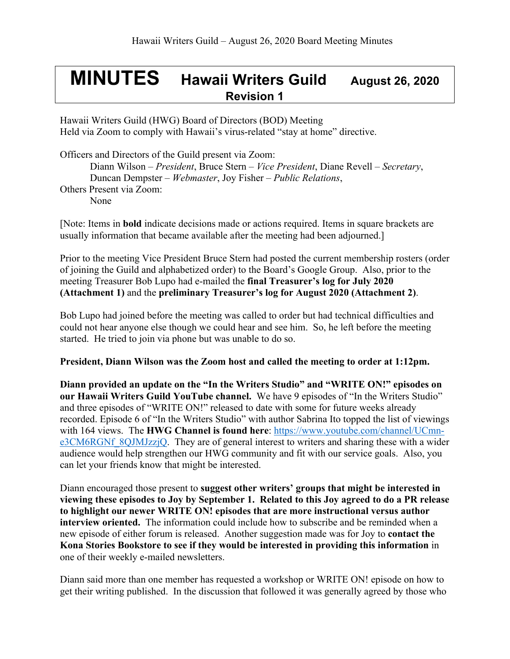## **MINUTES Hawaii Writers Guild August 26, <sup>2020</sup> Revision 1**

Hawaii Writers Guild (HWG) Board of Directors (BOD) Meeting Held via Zoom to comply with Hawaii's virus-related "stay at home" directive.

Officers and Directors of the Guild present via Zoom:

Diann Wilson – *President*, Bruce Stern – *Vice President*, Diane Revell – *Secretary*, Duncan Dempster – *Webmaster*, Joy Fisher – *Public Relations*, Others Present via Zoom: None

[Note: Items in **bold** indicate decisions made or actions required. Items in square brackets are usually information that became available after the meeting had been adjourned.]

Prior to the meeting Vice President Bruce Stern had posted the current membership rosters (order of joining the Guild and alphabetized order) to the Board's Google Group. Also, prior to the meeting Treasurer Bob Lupo had e-mailed the **final Treasurer's log for July 2020 (Attachment 1)** and the **preliminary Treasurer's log for August 2020 (Attachment 2)**.

Bob Lupo had joined before the meeting was called to order but had technical difficulties and could not hear anyone else though we could hear and see him. So, he left before the meeting started. He tried to join via phone but was unable to do so.

## **President, Diann Wilson was the Zoom host and called the meeting to order at 1:12pm.**

**Diann provided an update on the "In the Writers Studio" and "WRITE ON!" episodes on our Hawaii Writers Guild YouTube channel.** We have 9 episodes of "In the Writers Studio" and three episodes of "WRITE ON!" released to date with some for future weeks already recorded. Episode 6 of "In the Writers Studio" with author Sabrina Ito topped the list of viewings with 164 views. The **HWG Channel is found here**: https://www.youtube.com/channel/UCmne3CM6RGNf 8QJMJzzjQ. They are of general interest to writers and sharing these with a wider audience would help strengthen our HWG community and fit with our service goals. Also, you can let your friends know that might be interested.

Diann encouraged those present to **suggest other writers' groups that might be interested in viewing these episodes to Joy by September 1. Related to this Joy agreed to do a PR release to highlight our newer WRITE ON! episodes that are more instructional versus author interview oriented.** The information could include how to subscribe and be reminded when a new episode of either forum is released. Another suggestion made was for Joy to **contact the Kona Stories Bookstore to see if they would be interested in providing this information** in one of their weekly e-mailed newsletters.

Diann said more than one member has requested a workshop or WRITE ON! episode on how to get their writing published. In the discussion that followed it was generally agreed by those who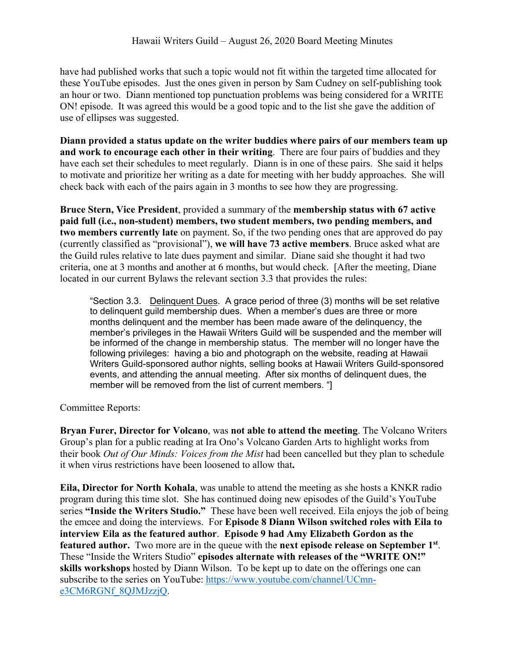have had published works that such a topic would not fit within the targeted time allocated for these YouTube episodes. Just the ones given in person by Sam Cudney on self-publishing took an hour or two. Diann mentioned top punctuation problems was being considered for a WRITE ON! episode. It was agreed this would be a good topic and to the list she gave the addition of use of ellipses was suggested.

**Diann provided a status update on the writer buddies where pairs of our members team up and work to encourage each other in their writing**. There are four pairs of buddies and they have each set their schedules to meet regularly. Diann is in one of these pairs. She said it helps to motivate and prioritize her writing as a date for meeting with her buddy approaches. She will check back with each of the pairs again in 3 months to see how they are progressing.

**Bruce Stern, Vice President**, provided a summary of the **membership status with 67 active paid full (i.e., non-student) members, two student members, two pending members, and two members currently late** on payment. So, if the two pending ones that are approved do pay (currently classified as "provisional"), **we will have 73 active members**. Bruce asked what are the Guild rules relative to late dues payment and similar. Diane said she thought it had two criteria, one at 3 months and another at 6 months, but would check. [After the meeting, Diane located in our current Bylaws the relevant section 3.3 that provides the rules:

"Section 3.3. Delinquent Dues. A grace period of three (3) months will be set relative to delinquent guild membership dues. When a member's dues are three or more months delinquent and the member has been made aware of the delinquency, the member's privileges in the Hawaii Writers Guild will be suspended and the member will be informed of the change in membership status. The member will no longer have the following privileges: having a bio and photograph on the website, reading at Hawaii Writers Guild-sponsored author nights, selling books at Hawaii Writers Guild-sponsored events, and attending the annual meeting. After six months of delinquent dues, the member will be removed from the list of current members. "]

Committee Reports:

**Bryan Furer, Director for Volcano**, was **not able to attend the meeting**. The Volcano Writers Group's plan for a public reading at Ira Ono's Volcano Garden Arts to highlight works from their book *Out of Our Minds: Voices from the Mist* had been cancelled but they plan to schedule it when virus restrictions have been loosened to allow that**.** 

**Eila, Director for North Kohala**, was unable to attend the meeting as she hosts a KNKR radio program during this time slot. She has continued doing new episodes of the Guild's YouTube series **"Inside the Writers Studio."** These have been well received. Eila enjoys the job of being the emcee and doing the interviews. For **Episode 8 Diann Wilson switched roles with Eila to interview Eila as the featured author**. **Episode 9 had Amy Elizabeth Gordon as the featured author.** Two more are in the queue with the **next episode release on September 1st**. These "Inside the Writers Studio" **episodes alternate with releases of the "WRITE ON!" skills workshops** hosted by Diann Wilson. To be kept up to date on the offerings one can subscribe to the series on YouTube: https://www.youtube.com/channel/UCmne3CM6RGNf\_8QJMJzzjQ.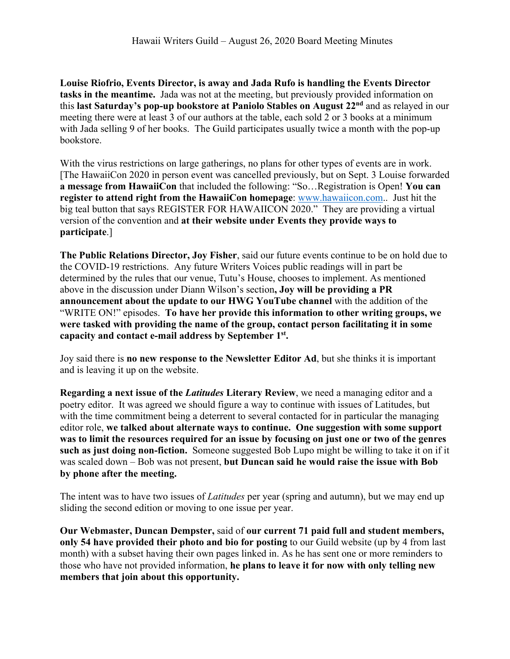**Louise Riofrio, Events Director, is away and Jada Rufo is handling the Events Director tasks in the meantime.** Jada was not at the meeting, but previously provided information on this **last Saturday's pop-up bookstore at Paniolo Stables on August 22nd** and as relayed in our meeting there were at least 3 of our authors at the table, each sold 2 or 3 books at a minimum with Jada selling 9 of her books. The Guild participates usually twice a month with the pop-up bookstore.

With the virus restrictions on large gatherings, no plans for other types of events are in work. [The HawaiiCon 2020 in person event was cancelled previously, but on Sept. 3 Louise forwarded **a message from HawaiiCon** that included the following: "So…Registration is Open! **You can register to attend right from the HawaiiCon homepage**: www.hawaiicon.com.. Just hit the big teal button that says REGISTER FOR HAWAIICON 2020." They are providing a virtual version of the convention and **at their website under Events they provide ways to participate**.]

**The Public Relations Director, Joy Fisher**, said our future events continue to be on hold due to the COVID-19 restrictions. Any future Writers Voices public readings will in part be determined by the rules that our venue, Tutu's House, chooses to implement. As mentioned above in the discussion under Diann Wilson's section**, Joy will be providing a PR announcement about the update to our HWG YouTube channel** with the addition of the "WRITE ON!" episodes. **To have her provide this information to other writing groups, we were tasked with providing the name of the group, contact person facilitating it in some capacity and contact e-mail address by September 1st.**

Joy said there is **no new response to the Newsletter Editor Ad**, but she thinks it is important and is leaving it up on the website.

**Regarding a next issue of the** *Latitudes* **Literary Review**, we need a managing editor and a poetry editor. It was agreed we should figure a way to continue with issues of Latitudes, but with the time commitment being a deterrent to several contacted for in particular the managing editor role, **we talked about alternate ways to continue. One suggestion with some support was to limit the resources required for an issue by focusing on just one or two of the genres such as just doing non-fiction.** Someone suggested Bob Lupo might be willing to take it on if it was scaled down – Bob was not present, **but Duncan said he would raise the issue with Bob by phone after the meeting.**

The intent was to have two issues of *Latitudes* per year (spring and autumn), but we may end up sliding the second edition or moving to one issue per year.

**Our Webmaster, Duncan Dempster,** said of **our current 71 paid full and student members, only 54 have provided their photo and bio for posting** to our Guild website (up by 4 from last month) with a subset having their own pages linked in. As he has sent one or more reminders to those who have not provided information, **he plans to leave it for now with only telling new members that join about this opportunity.**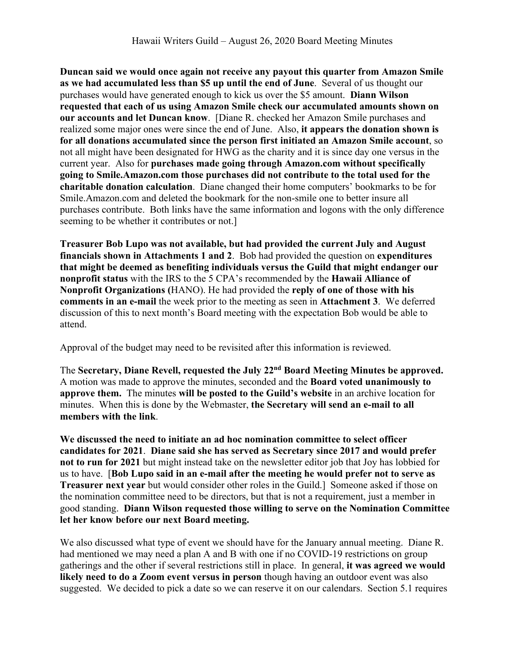**Duncan said we would once again not receive any payout this quarter from Amazon Smile as we had accumulated less than \$5 up until the end of June**. Several of us thought our purchases would have generated enough to kick us over the \$5 amount. **Diann Wilson requested that each of us using Amazon Smile check our accumulated amounts shown on our accounts and let Duncan know**. [Diane R. checked her Amazon Smile purchases and realized some major ones were since the end of June. Also, **it appears the donation shown is for all donations accumulated since the person first initiated an Amazon Smile account**, so not all might have been designated for HWG as the charity and it is since day one versus in the current year. Also for **purchases made going through Amazon.com without specifically going to Smile.Amazon.com those purchases did not contribute to the total used for the charitable donation calculation**. Diane changed their home computers' bookmarks to be for Smile.Amazon.com and deleted the bookmark for the non-smile one to better insure all purchases contribute. Both links have the same information and logons with the only difference seeming to be whether it contributes or not.]

**Treasurer Bob Lupo was not available, but had provided the current July and August financials shown in Attachments 1 and 2**. Bob had provided the question on **expenditures that might be deemed as benefiting individuals versus the Guild that might endanger our nonprofit status** with the IRS to the 5 CPA's recommended by the **Hawaii Alliance of Nonprofit Organizations (**HANO). He had provided the **reply of one of those with his comments in an e-mail** the week prior to the meeting as seen in **Attachment 3**. We deferred discussion of this to next month's Board meeting with the expectation Bob would be able to attend.

Approval of the budget may need to be revisited after this information is reviewed.

The **Secretary, Diane Revell, requested the July 22nd Board Meeting Minutes be approved.**  A motion was made to approve the minutes, seconded and the **Board voted unanimously to approve them.** The minutes **will be posted to the Guild's website** in an archive location for minutes. When this is done by the Webmaster, **the Secretary will send an e-mail to all members with the link**.

**We discussed the need to initiate an ad hoc nomination committee to select officer candidates for 2021**. **Diane said she has served as Secretary since 2017 and would prefer not to run for 2021** but might instead take on the newsletter editor job that Joy has lobbied for us to have. [**Bob Lupo said in an e-mail after the meeting he would prefer not to serve as Treasurer next year** but would consider other roles in the Guild.] Someone asked if those on the nomination committee need to be directors, but that is not a requirement, just a member in good standing. **Diann Wilson requested those willing to serve on the Nomination Committee let her know before our next Board meeting.**

We also discussed what type of event we should have for the January annual meeting. Diane R. had mentioned we may need a plan A and B with one if no COVID-19 restrictions on group gatherings and the other if several restrictions still in place. In general, **it was agreed we would likely need to do a Zoom event versus in person** though having an outdoor event was also suggested. We decided to pick a date so we can reserve it on our calendars. Section 5.1 requires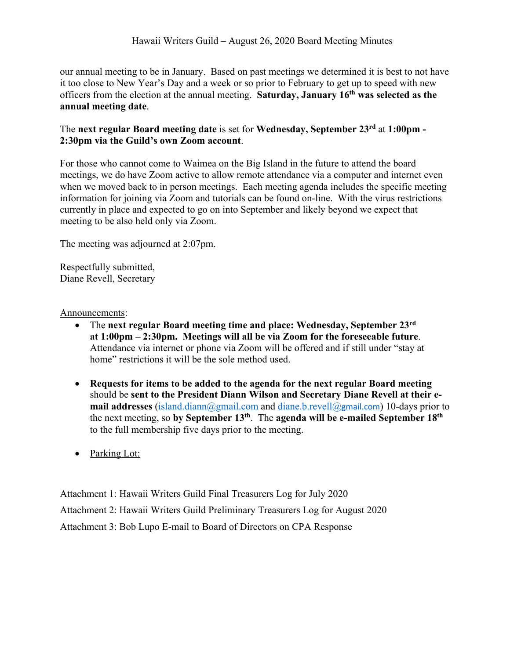our annual meeting to be in January. Based on past meetings we determined it is best to not have it too close to New Year's Day and a week or so prior to February to get up to speed with new officers from the election at the annual meeting. **Saturday, January 16th was selected as the annual meeting date**.

## The **next regular Board meeting date** is set for **Wednesday, September 23rd** at **1:00pm - 2:30pm via the Guild's own Zoom account**.

For those who cannot come to Waimea on the Big Island in the future to attend the board meetings, we do have Zoom active to allow remote attendance via a computer and internet even when we moved back to in person meetings. Each meeting agenda includes the specific meeting information for joining via Zoom and tutorials can be found on-line. With the virus restrictions currently in place and expected to go on into September and likely beyond we expect that meeting to be also held only via Zoom.

The meeting was adjourned at 2:07pm.

Respectfully submitted, Diane Revell, Secretary

Announcements:

- The **next regular Board meeting time and place: Wednesday, September 23rd at 1:00pm – 2:30pm. Meetings will all be via Zoom for the foreseeable future**. Attendance via internet or phone via Zoom will be offered and if still under "stay at home" restrictions it will be the sole method used.
- **Requests for items to be added to the agenda for the next regular Board meeting** should be **sent to the President Diann Wilson and Secretary Diane Revell at their email addresses** (island.diann@gmail.com and diane.b.revell@gmail.com) 10-days prior to the next meeting, so **by September 13th**. The **agenda will be e-mailed September 18th** to the full membership five days prior to the meeting.
- Parking Lot:

Attachment 1: Hawaii Writers Guild Final Treasurers Log for July 2020 Attachment 2: Hawaii Writers Guild Preliminary Treasurers Log for August 2020 Attachment 3: Bob Lupo E-mail to Board of Directors on CPA Response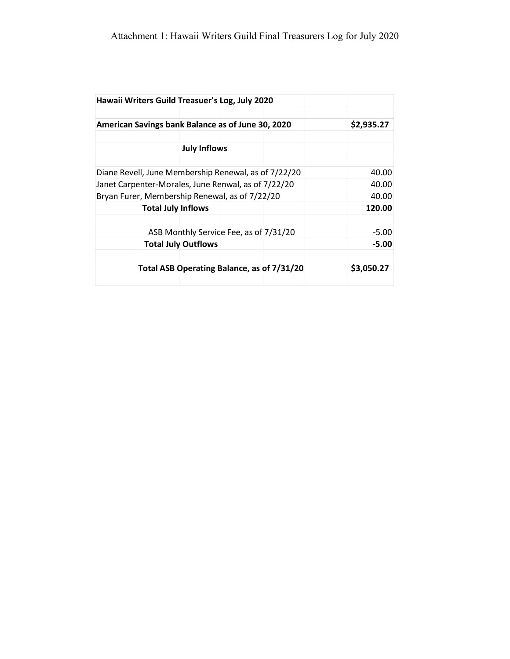|                                                      | Hawaii Writers Guild Treasuer's Log, July 2020 |  |  |  |            |
|------------------------------------------------------|------------------------------------------------|--|--|--|------------|
|                                                      |                                                |  |  |  |            |
| American Savings bank Balance as of June 30, 2020    |                                                |  |  |  | \$2,935.27 |
|                                                      |                                                |  |  |  |            |
| <b>July Inflows</b>                                  |                                                |  |  |  |            |
|                                                      |                                                |  |  |  |            |
| Diane Revell, June Membership Renewal, as of 7/22/20 |                                                |  |  |  | 40.00      |
| Janet Carpenter-Morales, June Renwal, as of 7/22/20  |                                                |  |  |  | 40.00      |
| Bryan Furer, Membership Renewal, as of 7/22/20       |                                                |  |  |  | 40.00      |
| <b>Total July Inflows</b>                            |                                                |  |  |  | 120.00     |
|                                                      |                                                |  |  |  |            |
| ASB Monthly Service Fee, as of 7/31/20               |                                                |  |  |  | $-5.00$    |
| <b>Total July Outflows</b>                           |                                                |  |  |  | -5.00      |
|                                                      |                                                |  |  |  |            |
| Total ASB Operating Balance, as of 7/31/20           |                                                |  |  |  | \$3,050.27 |
|                                                      |                                                |  |  |  |            |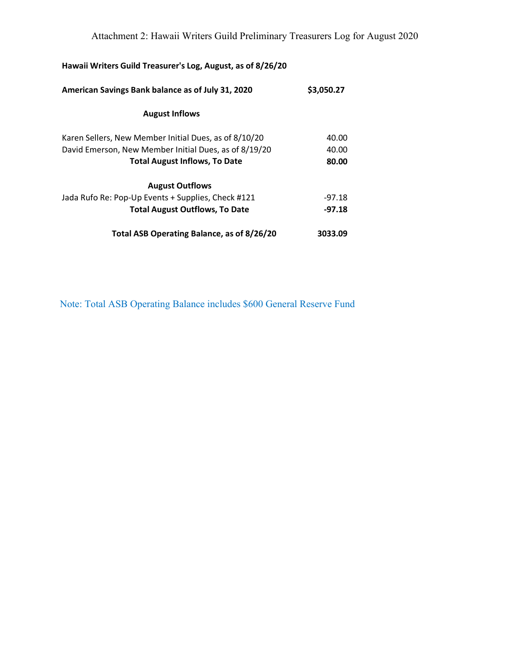| Hawaii Writers Guild Treasurer's Log, August, as of 8/26/20 |            |
|-------------------------------------------------------------|------------|
| American Savings Bank balance as of July 31, 2020           | \$3,050.27 |
| <b>August Inflows</b>                                       |            |
| Karen Sellers, New Member Initial Dues, as of 8/10/20       | 40.00      |
| David Emerson, New Member Initial Dues, as of 8/19/20       | 40.00      |
| <b>Total August Inflows, To Date</b>                        | 80.00      |
| <b>August Outflows</b>                                      |            |
| Jada Rufo Re: Pop-Up Events + Supplies, Check #121          | $-97.18$   |
| <b>Total August Outflows, To Date</b>                       | $-97.18$   |
| Total ASB Operating Balance, as of 8/26/20                  | 3033.09    |

Note: Total ASB Operating Balance includes \$600 General Reserve Fund